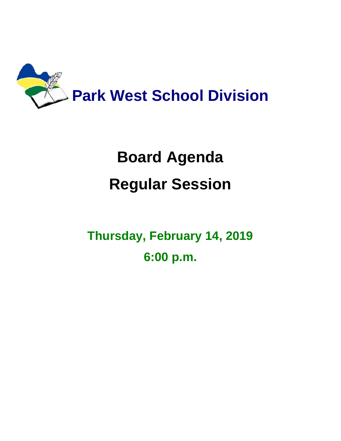

# **Board Agenda Regular Session**

**Thursday, February 14, 2019 6:00 p.m.**